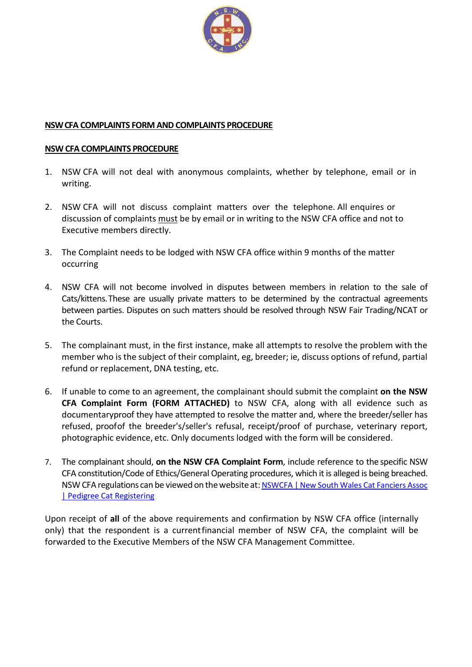

# **NSW CFA COMPLAINTS FORM AND COMPLAINTS PROCEDURE**

### **NSW CFA COMPLAINTS PROCEDURE**

- 1. NSW CFA will not deal with anonymous complaints, whether by telephone, email or in writing.
- 2. NSW CFA will not discuss complaint matters over the telephone. All enquires or discussion of complaints must be by email or in writing to the NSW CFA office and not to Executive members directly.
- 3. The Complaint needs to be lodged with NSW CFA office within 9 months of the matter occurring
- 4. NSW CFA will not become involved in disputes between members in relation to the sale of Cats/kittens. These are usually private matters to be determined by the contractual agreements between parties. Disputes on such matters should be resolved through NSW Fair Trading/NCAT or the Courts.
- 5. The complainant must, in the first instance, make all attempts to resolve the problem with the member who is the subject of their complaint, eg, breeder; ie, discuss options of refund, partial refund or replacement, DNA testing, etc.
- 6. If unable to come to an agreement, the complainant should submit the complaint **on the NSW CFA Complaint Form (FORM ATTACHED)** to NSW CFA, along with all evidence such as documentary proof they have attempted to resolve the matter and, where the breeder/seller has refused, proof of the breeder's/seller's refusal, receipt/proof of purchase, veterinary report, photographic evidence, etc. Only documents lodged with the form will be considered.
- 7. The complainant should, **on the NSW CFA Complaint Form**, include reference to the specific NSW CFA constitution/Code of Ethics/General Operating procedures, which it is alleged is being breached. NSW CFA regulations can be viewed on the website at: NSWCFA | New South Wales Cat Fanciers Assoc | Pedigree Cat Registering

Upon receipt of **all** of the above requirements and confirmation by NSW CFA office (internally only) that the respondent is a current financial member of NSW CFA, the complaint will be forwarded to the Executive Members of the NSW CFA Management Committee.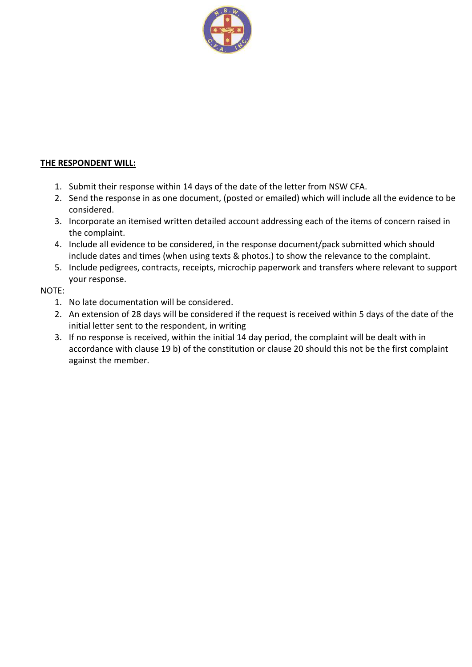

## **THE RESPONDENT WILL:**

- 1. Submit their response within 14 days of the date of the letter from NSW CFA.
- 2. Send the response in as one document, (posted or emailed) which will include all the evidence to be considered.
- 3. Incorporate an itemised written detailed account addressing each of the items of concern raised in the complaint.
- 4. Include all evidence to be considered, in the response document/pack submitted which should include dates and times (when using texts & photos.) to show the relevance to the complaint.
- 5. Include pedigrees, contracts, receipts, microchip paperwork and transfers where relevant to support your response.

### NOTE:

- 1. No late documentation will be considered.
- 2. An extension of 28 days will be considered if the request is received within 5 days of the date of the initial letter sent to the respondent, in writing
- 3. If no response is received, within the initial 14 day period, the complaint will be dealt with in accordance with clause 19 b) of the constitution or clause 20 should this not be the first complaint against the member.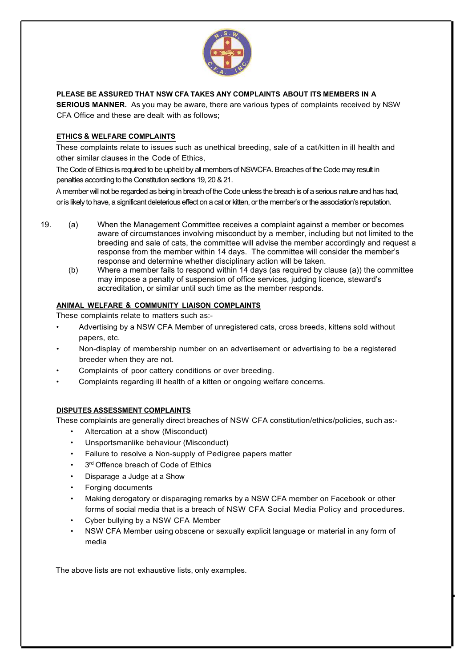

**PLEASE BE ASSURED THAT NSW CFA TAKES ANY COMPLAINTS ABOUT ITS MEMBERS IN A**

**SERIOUS MANNER.** As you may be aware, there are various types of complaints received by NSW CFA Office and these are dealt with as follows;

#### **ETHICS & WELFARE COMPLAINTS**

These complaints relate to issues such as unethical breeding, sale of a cat/kitten in ill health and other similar clauses in the Code of Ethics,

The Code of Ethics is required to be upheld by all members of NSWCFA. Breaches of the Code may result in penalties according to the Constitution sections 19, 20 & 21.

A member will not be regarded as being in breach of the Code unless the breach is of a serious nature and has had, or is likely to have, a significant deleterious effect on a cat or kitten, or the member's or the association's reputation.

- 19. (a) When the Management Committee receives a complaint against a member or becomes aware of circumstances involving misconduct by a member, including but not limited to the breeding and sale of cats, the committee will advise the member accordingly and request a response from the member within 14 days. The committee will consider the member's response and determine whether disciplinary action will be taken.<br>(b) Where a member fails to respond within 14 days (as required by c
	- Where a member fails to respond within 14 days (as required by clause (a)) the committee may impose a penalty of suspension of office services, judging licence, steward's accreditation, or similar until such time as the member responds.

#### **ANIMAL WELFARE & COMMUNITY LIAISON COMPLAINTS**

These complaints relate to matters such as:-

- Advertising by a NSW CFA Member of unregistered cats, cross breeds, kittens sold without papers, etc.
- Non-display of membership number on an advertisement or advertising to be a registered breeder when they are not.
- Complaints of poor cattery conditions or over breeding.
- Complaints regarding ill health of a kitten or ongoing welfare concerns.

#### **DISPUTES ASSESSMENT COMPLAINTS**

These complaints are generally direct breaches of NSW CFA constitution/ethics/policies, such as:-

- Altercation at a show (Misconduct)
- Unsportsmanlike behaviour (Misconduct)
- Failure to resolve a Non-supply of Pedigree papers matter
- 3<sup>rd</sup> Offence breach of Code of Ethics
- Disparage a Judge at a Show
- Forging documents
- Making derogatory or disparaging remarks by a NSW CFA member on Facebook or other forms of social media that is a breach of NSW CFA Social Media Policy and procedures.
- Cyber bullying by a NSW CFA Member
- NSW CFA Member using obscene or sexually explicit language or material in any form of media

■

The above lists are not exhaustive lists, only examples.